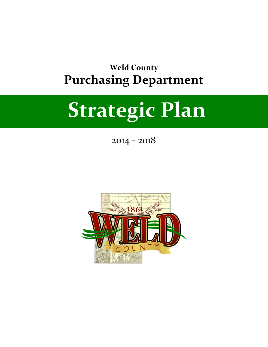# **Weld County Purchasing Department**

# **Strategic Plan**

2014 - 2018

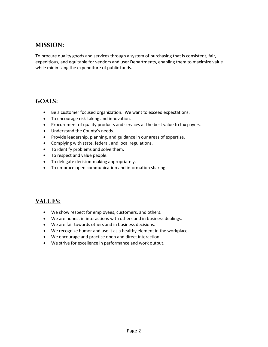## **MISSION:**

To procure quality goods and services through a system of purchasing that is consistent, fair, expeditious, and equitable for vendors and user Departments, enabling them to maximize value while minimizing the expenditure of public funds.

# **GOALS:**

- Be a customer focused organization. We want to exceed expectations.
- To encourage risk-taking and innovation.
- Procurement of quality products and services at the best value to tax payers.
- Understand the County's needs.
- Provide leadership, planning, and guidance in our areas of expertise.
- Complying with state, federal, and local regulations.
- To identify problems and solve them.
- To respect and value people.
- To delegate decision-making appropriately.
- To embrace open communication and information sharing.

## **VALUES:**

- We show respect for employees, customers, and others.
- We are honest in interactions with others and in business dealings.
- We are fair towards others and in business decisions.
- We recognize humor and use it as a healthy element in the workplace.
- We encourage and practice open and direct interaction.
- We strive for excellence in performance and work output.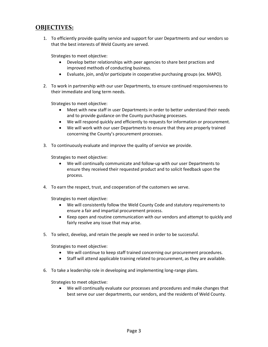#### **OBJECTIVES:**

1. To efficiently provide quality service and support for user Departments and our vendors so that the best interests of Weld County are served.

Strategies to meet objective:

- Develop better relationships with peer agencies to share best practices and improved methods of conducting business.
- Evaluate, join, and/or participate in cooperative purchasing groups (ex. MAPO).
- 2. To work in partnership with our user Departments, to ensure continued responsiveness to their immediate and long term needs.

Strategies to meet objective:

- Meet with new staff in user Departments in order to better understand their needs and to provide guidance on the County purchasing processes.
- We will respond quickly and efficiently to requests for information or procurement.
- We will work with our user Departments to ensure that they are properly trained concerning the County's procurement processes.
- 3. To continuously evaluate and improve the quality of service we provide.

Strategies to meet objective:

- We will continually communicate and follow-up with our user Departments to ensure they received their requested product and to solicit feedback upon the process.
- 4. To earn the respect, trust, and cooperation of the customers we serve.

Strategies to meet objective:

- We will consistently follow the Weld County Code and statutory requirements to ensure a fair and impartial procurement process.
- Keep open and routine communication with our vendors and attempt to quickly and fairly resolve any issue that may arise.
- 5. To select, develop, and retain the people we need in order to be successful.

Strategies to meet objective:

- We will continue to keep staff trained concerning our procurement procedures.
- Staff will attend applicable training related to procurement, as they are available.
- 6. To take a leadership role in developing and implementing long-range plans.

Strategies to meet objective:

• We will continually evaluate our processes and procedures and make changes that best serve our user departments, our vendors, and the residents of Weld County.